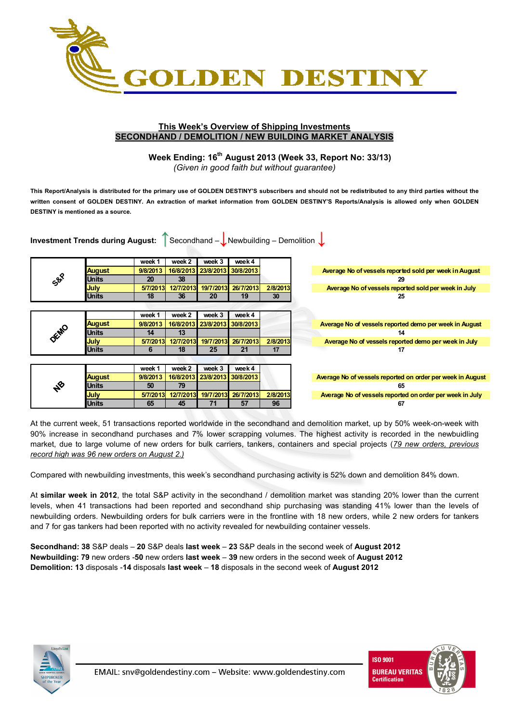

#### **This Week's Overview of Shipping Investments SECONDHAND / DEMOLITION / NEW BUILDING MARKET ANALYSIS**

# **Week Ending: 16th August 2013 (Week 33, Report No: 33/13)**

*(Given in good faith but without guarantee)* 

**This Report/Analysis is distributed for the primary use of GOLDEN DESTINY'S subscribers and should not be redistributed to any third parties without the written consent of GOLDEN DESTINY. An extraction of market information from GOLDEN DESTINY'S Reports/Analysis is allowed only when GOLDEN DESTINY is mentioned as a source.** 

|      | <b>Investment Trends during August:</b> |          |           |                     | Secondhand $-\bigcup$ Newbuilding – Demolition $\bigcup$ |          |                                                            |
|------|-----------------------------------------|----------|-----------|---------------------|----------------------------------------------------------|----------|------------------------------------------------------------|
|      |                                         | week 1   | week 2    | week 3              | week4                                                    |          |                                                            |
|      | <b>August</b>                           | 9/8/2013 |           | 16/8/2013 23/8/2013 | 30/8/2013                                                |          | Average No of vessels reported sold per week in August     |
| Sop  | <b>Units</b>                            | 20       | 38        |                     |                                                          |          | 29                                                         |
|      | <b>July</b>                             | 5/7/2013 | 12/7/2013 | 19/7/2013           | 26/7/2013                                                | 2/8/2013 | Average No of vessels reported sold per week in July       |
|      | <b>Units</b>                            | 18       | 36        | 20                  | 19                                                       | 30       | 25                                                         |
|      |                                         |          |           |                     |                                                          |          |                                                            |
|      |                                         | week 1   | week 2    | week 3              | week4                                                    |          |                                                            |
|      | <b>August</b>                           | 9/8/2013 |           | 16/8/2013 23/8/2013 | 30/8/2013                                                |          | Average No of vessels reported demo per week in August     |
| DEMO | <b>Units</b>                            | 14       | 13        |                     |                                                          |          | 14                                                         |
|      | July                                    | 5/7/2013 | 12/7/2013 | 19/7/2013           | 26/7/2013                                                | 2/8/2013 | Average No of vessels reported demo per week in July       |
|      | <b>Units</b>                            | 6        | 18        | 25                  | 21                                                       | 17       | 17                                                         |
|      |                                         |          |           |                     |                                                          |          |                                                            |
|      |                                         | week 1   | week 2    | week 3              | week 4                                                   |          |                                                            |
|      | <b>August</b>                           | 9/8/2013 |           | 16/8/2013 23/8/2013 | 30/8/2013                                                |          | Average No of vessels reported on order per week in August |
| oŽ   | <b>Units</b>                            | 50       | 79        |                     |                                                          |          | 65                                                         |
|      | July                                    | 5/7/2013 | 12/7/2013 | 19/7/2013           | 26/7/2013                                                | 2/8/2013 | Average No of vessels reported on order per week in July   |
|      | <b>Units</b>                            | 65       | 45        | 71                  | 57                                                       | 96       | 67                                                         |

At the current week, 51 transactions reported worldwide in the secondhand and demolition market, up by 50% week-on-week with 90% increase in secondhand purchases and 7% lower scrapping volumes. The highest activity is recorded in the newbuidling market, due to large volume of new orders for bulk carriers, tankers, containers and special projects (*79 new orders, previous record high was 96 new orders on August 2.)*

Compared with newbuilding investments, this week's secondhand purchasing activity is 52% down and demolition 84% down.

At **similar week in 2012**, the total S&P activity in the secondhand / demolition market was standing 20% lower than the current levels, when 41 transactions had been reported and secondhand ship purchasing was standing 41% lower than the levels of newbuilding orders. Newbuilding orders for bulk carriers were in the frontline with 18 new orders, while 2 new orders for tankers and 7 for gas tankers had been reported with no activity revealed for newbuilding container vessels.

**Secondhand: 38** S&P deals – **20** S&P deals **last week** – **23** S&P deals in the second week of **August 2012 Newbuilding: 79** new orders -**50** new orders **last week** – **39** new orders in the second week of **August 2012 Demolition: 13** disposals -**14** disposals **last week** – **18** disposals in the second week of **August 2012** 



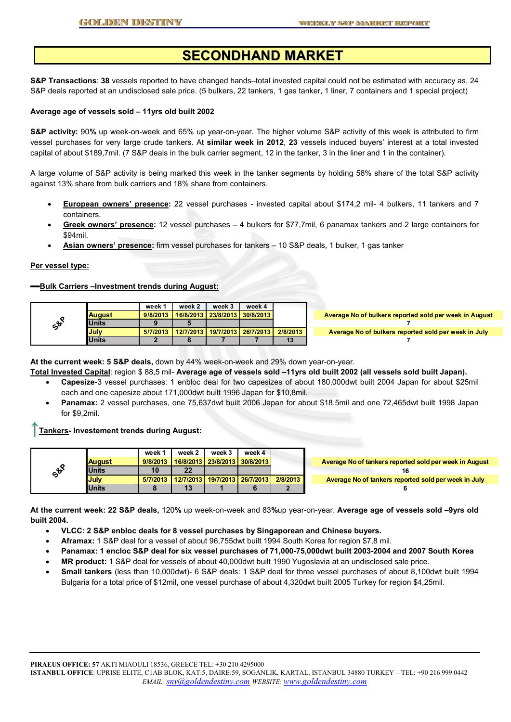## **SECONDHAND MARKET**

**S&P Transactions**: **38** vessels reported to have changed hands–total invested capital could not be estimated with accuracy as, 24 S&P deals reported at an undisclosed sale price. (5 bulkers, 22 tankers, 1 gas tanker, 1 liner, 7 containers and 1 special project)

#### **Average age of vessels sold – 11yrs old built 2002**

**S&P activity:** 90**%** up week-on-week and 65% up year-on-year. The higher volume S&P activity of this week is attributed to firm vessel purchases for very large crude tankers. At **similar week in 2012**, **23** vessels induced buyers' interest at a total invested capital of about \$189,7mil. (7 S&P deals in the bulk carrier segment, 12 in the tanker, 3 in the liner and 1 in the container).

A large volume of S&P activity is being marked this week in the tanker segments by holding 58% share of the total S&P activity against 13% share from bulk carriers and 18% share from containers.

- **European owners' presence:** 22 vessel purchases invested capital about \$174,2 mil- 4 bulkers, 11 tankers and 7 containers.
- **Greek owners' presence:** 12 vessel purchases 4 bulkers for \$77,7mil, 6 panamax tankers and 2 large containers for \$94mil.
- **Asian owners' presence:** firm vessel purchases for tankers 10 S&P deals, 1 bulker, 1 gas tanker

#### **Per vessel type:**

#### ▬**Bulk Carriers –Investment trends during August:**

|              |              | week *   | week 2    | week 3 | week 4                          |          |                                                        |
|--------------|--------------|----------|-----------|--------|---------------------------------|----------|--------------------------------------------------------|
|              | August       | 9/8/2013 |           |        | 16/8/2013 23/8/2013 30/8/2013 1 |          | Average No of bulkers reported sold per week in August |
| $c^{\theta}$ | <b>Units</b> |          |           |        |                                 |          |                                                        |
|              | July         | 5/7/2013 | 12/7/2013 |        | i 19/7/2013 i 26/7/2013 i       | 2/8/2013 | Average No of bulkers reported sold per week in July   |
|              | <b>Units</b> |          |           |        |                                 | 13       |                                                        |

**At the current week: 5 S&P deals,** down by 44% week-on-week and 29% down year-on-year.

- **Total Invested Capital**: region \$ 88,5 mil- **Average age of vessels sold –11yrs old built 2002 (all vessels sold built Japan).**  • **Capesize-**3 vessel purchases: 1 enbloc deal for two capesizes of about 180,000dwt built 2004 Japan for about \$25mil
	- each and one capesize about 171,000dwt built 1996 Japan for \$10,8mil.
	- **Panamax:** 2 vessel purchases, one 75,637dwt built 2006 Japan for about \$18,5mil and one 72,465dwt built 1998 Japan for \$9,2mil.

↑**Tankers- Investement trends during August:** 

|                 |               | week 1   | week 2                            | week 3              | week 4    |          |                                                        |
|-----------------|---------------|----------|-----------------------------------|---------------------|-----------|----------|--------------------------------------------------------|
|                 | <b>August</b> | 9/8/2013 |                                   | 16/8/2013 23/8/2013 | 30/8/2013 |          | Average No of tankers reported sold per week in August |
| So <sup>Q</sup> | <b>Units</b>  | 10       | 22                                |                     |           |          |                                                        |
|                 | <b>July</b>   | 5/7/2013 | 12/7/2013   19/7/2013   26/7/2013 |                     |           | 2/8/2013 | Average No of tankers reported sold per week in July   |
|                 | <b>Units</b>  |          | 13                                |                     |           |          |                                                        |

**At the current week: 22 S&P deals,** 120**%** up week-on-week and 83**%**up year-on-year. **Average age of vessels sold –9yrs old built 2004.** 

• **VLCC: 2 S&P enbloc deals for 8 vessel purchases by Singaporean and Chinese buyers.** 

- **Aframax:** 1 S&P deal for a vessel of about 96,755dwt built 1994 South Korea for region \$7,8 mil.
- **Panamax: 1 encloc S&P deal for six vessel purchases of 71,000-75,000dwt built 2003-2004 and 2007 South Korea**
- **MR product:** 1 S&P deal for vessels of about 40,000dwt built 1990 Yugoslavia at an undisclosed sale price.
- **Small tankers** (less than 10,000dwt)- 6 S&P deals: 1 S&P deal for three vessel purchases of about 8,100dwt built 1994 Bulgaria for a total price of \$12mil, one vessel purchase of about 4,320dwt built 2005 Turkey for region \$4,25mil.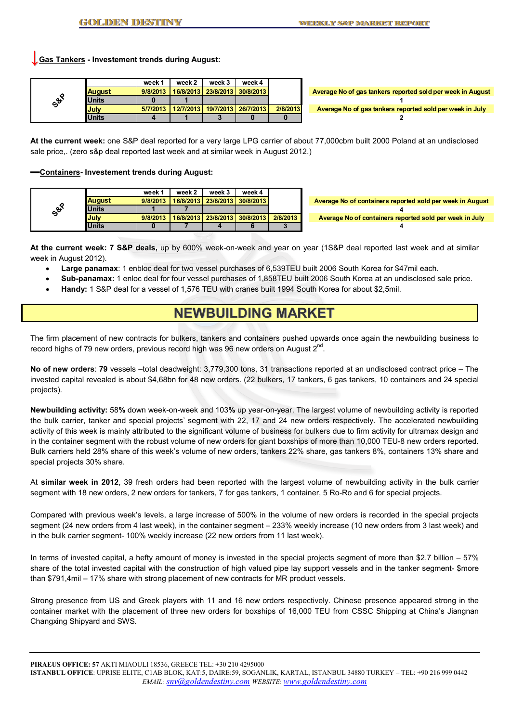**↓Gas Tankers - Investement trends during August:**

|                 |               | week 1   | week 2                                 | week 3 | week 4 |          |
|-----------------|---------------|----------|----------------------------------------|--------|--------|----------|
|                 | <b>August</b> | 9/8/2013 | 16/8/2013   23/8/2013   30/8/2013      |        |        |          |
| So <sup>Q</sup> | <b>Units</b>  |          |                                        |        |        |          |
|                 | <b>July</b>   |          | 5/7/2013 12/7/2013 19/7/2013 26/7/2013 |        |        | 2/8/2013 |
|                 | <b>Units</b>  |          |                                        |        |        |          |

**Average No of gas tankers reported sold per week in August 1 Average No of gas tankers reported sold per week in July 2**

**At the current week:** one S&P deal reported for a very large LPG carrier of about 77,000cbm built 2000 Poland at an undisclosed sale price,. (zero s&p deal reported last week and at similar week in August 2012.)

▬**Containers- Investement trends during August:**

|                  |               | week 1   | week 2 | week 3                        | week 4                          |          |                                                           |
|------------------|---------------|----------|--------|-------------------------------|---------------------------------|----------|-----------------------------------------------------------|
|                  | <b>August</b> | 9/8/2013 |        |                               | 16/8/2013 23/8/2013 30/8/2013 1 |          | Average No of containers reported sold per week in August |
| $c^{\mathbf{t}}$ | <b>Units</b>  |          |        |                               |                                 |          |                                                           |
|                  | <b>July</b>   | 9/8/2013 |        | 16/8/2013 23/8/2013 30/8/2013 |                                 | 2/8/2013 | Average No of containers reported sold per week in July   |
|                  | <b>Units</b>  |          |        |                               |                                 |          |                                                           |

**At the current week: 7 S&P deals,** up by 600% week-on-week and year on year (1S&P deal reported last week and at similar week in August 2012).

- **Large panamax**: 1 enbloc deal for two vessel purchases of 6,539TEU built 2006 South Korea for \$47mil each.
- **Sub-panamax:** 1 enloc deal for four vessel purchases of 1,858TEU built 2006 South Korea at an undisclosed sale price.
- **Handy:** 1 S&P deal for a vessel of 1,576 TEU with cranes built 1994 South Korea for about \$2,5mil.

### **NEWBUILDING MARKET**

The firm placement of new contracts for bulkers, tankers and containers pushed upwards once again the newbuilding business to record highs of 79 new orders, previous record high was 96 new orders on August 2<sup>nd</sup>.

**No of new orders**: **79** vessels –total deadweight: 3,779,300 tons, 31 transactions reported at an undisclosed contract price – The invested capital revealed is about \$4,68bn for 48 new orders. (22 bulkers, 17 tankers, 6 gas tankers, 10 containers and 24 special projects).

**Newbuilding activity:** 58**%** down week-on-week and 103**%** up year-on-year. The largest volume of newbuilding activity is reported the bulk carrier, tanker and special projects' segment with 22, 17 and 24 new orders respectively. The accelerated newbuilding activity of this week is mainly attributed to the significant volume of business for bulkers due to firm activity for ultramax design and in the container segment with the robust volume of new orders for giant boxships of more than 10,000 TEU-8 new orders reported. Bulk carriers held 28% share of this week's volume of new orders, tankers 22% share, gas tankers 8%, containers 13% share and special projects 30% share.

At **similar week in 2012**, 39 fresh orders had been reported with the largest volume of newbuilding activity in the bulk carrier segment with 18 new orders, 2 new orders for tankers, 7 for gas tankers, 1 container, 5 Ro-Ro and 6 for special projects.

Compared with previous week's levels, a large increase of 500% in the volume of new orders is recorded in the special projects segment (24 new orders from 4 last week), in the container segment – 233% weekly increase (10 new orders from 3 last week) and in the bulk carrier segment- 100% weekly increase (22 new orders from 11 last week).

In terms of invested capital, a hefty amount of money is invested in the special projects segment of more than \$2,7 billion – 57% share of the total invested capital with the construction of high valued pipe lay support vessels and in the tanker segment- \$more than \$791,4mil – 17% share with strong placement of new contracts for MR product vessels.

Strong presence from US and Greek players with 11 and 16 new orders respectively. Chinese presence appeared strong in the container market with the placement of three new orders for boxships of 16,000 TEU from CSSC Shipping at China's Jiangnan Changxing Shipyard and SWS.

**PIRAEUS OFFICE: 57** AKTI MIAOULI 18536, GREECE TEL: +30 210 4295000 **ISTANBUL OFFICE**: UPRISE ELITE, C1AB BLOK, KAT:5, DAIRE:59, SOGANLIK, KARTAL, ISTANBUL 34880 TURKEY – TEL: +90 216 999 0442 *EMAIL: snv@goldendestiny.com WEBSITE*: *www.goldendestiny.com*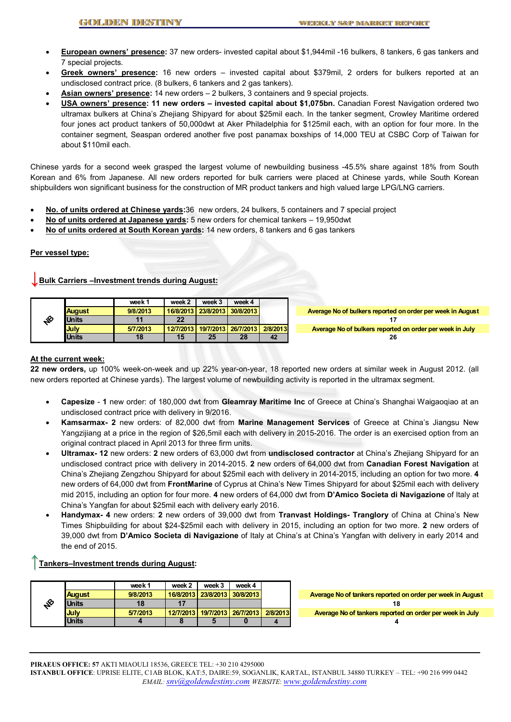- **European owners' presence:** 37 new orders- invested capital about \$1,944mil -16 bulkers, 8 tankers, 6 gas tankers and 7 special projects.
- **Greek owners' presence:** 16 new orders invested capital about \$379mil, 2 orders for bulkers reported at an undisclosed contract price. (8 bulkers, 6 tankers and 2 gas tankers).
- **Asian owners' presence:** 14 new orders 2 bulkers, 3 containers and 9 special projects.
- **USA owners' presence: 11 new orders invested capital about \$1,075bn.** Canadian Forest Navigation ordered two ultramax bulkers at China's Zhejiang Shipyard for about \$25mil each. In the tanker segment, Crowley Maritime ordered four jones act product tankers of 50,000dwt at Aker Philadelphia for \$125mil each, with an option for four more. In the container segment, Seaspan ordered another five post panamax boxships of 14,000 TEU at CSBC Corp of Taiwan for about \$110mil each.

Chinese yards for a second week grasped the largest volume of newbuilding business -45.5% share against 18% from South Korean and 6% from Japanese. All new orders reported for bulk carriers were placed at Chinese yards, while South Korean shipbuilders won significant business for the construction of MR product tankers and high valued large LPG/LNG carriers.

- **No. of units ordered at Chinese yards:**36 new orders, 24 bulkers, 5 containers and 7 special project
- **No of units ordered at Japanese yards:** 5 new orders for chemical tankers 19,950dwt
- **No of units ordered at South Korean yards:** 14 new orders, 8 tankers and 6 gas tankers

#### **Per vessel type:**

#### **↓Bulk Carriers –Investment trends during August:**

|               | week 1   | week 2 | week 3                          | week 4 |          |                                                            |
|---------------|----------|--------|---------------------------------|--------|----------|------------------------------------------------------------|
| <b>August</b> | 9/8/2013 |        | 16/8/2013 23/8/2013 30/8/2013   |        |          | Average No of bulkers reported on order per week in August |
| <b>Units</b>  |          | 22     |                                 |        |          |                                                            |
| <b>July</b>   | 5/7/2013 |        | 12/7/2013 19/7/2013 26/7/2013 1 |        | 2/8/2013 | Average No of bulkers reported on order per week in July   |
| <b>Units</b>  | 18       | 15     |                                 | 28     | 42       | 26                                                         |

#### **At the current week:**

**22 new orders,** up 100% week-on-week and up 22% year-on-year, 18 reported new orders at similar week in August 2012. (all new orders reported at Chinese yards). The largest volume of newbuilding activity is reported in the ultramax segment.

- **Capesize** - **1** new order: of 180,000 dwt from **Gleamray Maritime Inc** of Greece at China's Shanghai Waigaoqiao at an undisclosed contract price with delivery in 9/2016.
- **Kamsarmax- 2** new orders: of 82,000 dwt from **Marine Management Services** of Greece at China's Jiangsu New Yangzijiang at a price in the region of \$26,5mil each with delivery in 2015-2016. The order is an exercised option from an original contract placed in April 2013 for three firm units.
- **Ultramax- 12** new orders: **2** new orders of 63,000 dwt from **undisclosed contractor** at China's Zhejiang Shipyard for an undisclosed contract price with delivery in 2014-2015. **2** new orders of 64,000 dwt from **Canadian Forest Navigation** at China's Zhejiang Zengzhou Shipyard for about \$25mil each with delivery in 2014-2015, including an option for two more. **4**  new orders of 64,000 dwt from **FrontMarine** of Cyprus at China's New Times Shipyard for about \$25mil each with delivery mid 2015, including an option for four more. **4** new orders of 64,000 dwt from **D'Amico Societa di Navigazione** of Italy at China's Yangfan for about \$25mil each with delivery early 2016.
- **Handymax- 4** new orders: **2** new orders of 39,000 dwt from **Tranvast Holdings- Tranglory** of China at China's New Times Shipbuilding for about \$24-\$25mil each with delivery in 2015, including an option for two more. **2** new orders of 39,000 dwt from **D'Amico Societa di Navigazione** of Italy at China's at China's Yangfan with delivery in early 2014 and the end of 2015.

#### ↑**Tankers–Investment trends during August:**

|    |               | week 1   | week 2                                       | week 3                        | week 4 |                                                            |
|----|---------------|----------|----------------------------------------------|-------------------------------|--------|------------------------------------------------------------|
|    | <b>August</b> | 9/8/2013 |                                              | 16/8/2013 23/8/2013 30/8/2013 |        | Average No of tankers reported on order per week in August |
| చ్ | <b>Units</b>  | 18       |                                              |                               |        |                                                            |
|    | <b>July</b>   | 5/7/2013 | 12/7/2013   19/7/2013   26/7/2013   2/8/2013 |                               |        | Average No of tankers reported on order per week in July   |
|    | <b>Units</b>  |          |                                              |                               |        |                                                            |

**PIRAEUS OFFICE: 57** AKTI MIAOULI 18536, GREECE TEL: +30 210 4295000 **ISTANBUL OFFICE**: UPRISE ELITE, C1AB BLOK, KAT:5, DAIRE:59, SOGANLIK, KARTAL, ISTANBUL 34880 TURKEY – TEL: +90 216 999 0442 *EMAIL: snv@goldendestiny.com WEBSITE*: *www.goldendestiny.com*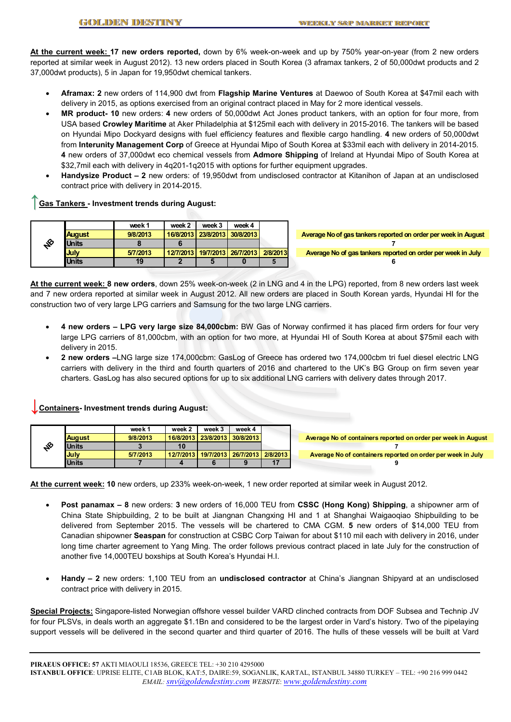**At the current week: 17 new orders reported,** down by 6% week-on-week and up by 750% year-on-year (from 2 new orders reported at similar week in August 2012). 13 new orders placed in South Korea (3 aframax tankers, 2 of 50,000dwt products and 2 37,000dwt products), 5 in Japan for 19,950dwt chemical tankers.

- **Aframax: 2** new orders of 114,900 dwt from **Flagship Marine Ventures** at Daewoo of South Korea at \$47mil each with delivery in 2015, as options exercised from an original contract placed in May for 2 more identical vessels.
- **MR product- 10** new orders: **4** new orders of 50,000dwt Act Jones product tankers, with an option for four more, from USA based **Crowley Maritime** at Aker Philadelphia at \$125mil each with delivery in 2015-2016. The tankers will be based on Hyundai Mipo Dockyard designs with fuel efficiency features and flexible cargo handling. **4** new orders of 50,000dwt from **Interunity Management Corp** of Greece at Hyundai Mipo of South Korea at \$33mil each with delivery in 2014-2015. **4** new orders of 37,000dwt eco chemical vessels from **Admore Shipping** of Ireland at Hyundai Mipo of South Korea at \$32,7mil each with delivery in 4q201-1q2015 with options for further equipment upgrades.
- **Handysize Product 2** new orders: of 19,950dwt from undisclosed contractor at Kitanihon of Japan at an undisclosed contract price with delivery in 2014-2015.

#### **Gas Tankers - Investment trends during August:**

|   |               | week 1   | week 2 | week 3                          | week 4 |          |                                                                |
|---|---------------|----------|--------|---------------------------------|--------|----------|----------------------------------------------------------------|
|   | <b>August</b> | 9/8/2013 |        | 16/8/2013 23/8/2013 30/8/2013   |        |          | Average No of gas tankers reported on order per week in August |
| ≰ | <b>Units</b>  |          |        |                                 |        |          |                                                                |
|   | <b>July</b>   | 5/7/2013 |        | 12/7/2013 19/7/2013 26/7/2013 1 |        | 2/8/2013 | Average No of gas tankers reported on order per week in July   |
|   | <b>Units</b>  | 19       |        |                                 |        |          |                                                                |

**At the current week: 8 new orders**, down 25% week-on-week (2 in LNG and 4 in the LPG) reported, from 8 new orders last week and 7 new ordera reported at similar week in August 2012. All new orders are placed in South Korean yards, Hyundai HI for the construction two of very large LPG carriers and Samsung for the two large LNG carriers.

- **4 new orders LPG very large size 84,000cbm:** BW Gas of Norway confirmed it has placed firm orders for four very large LPG carriers of 81,000cbm, with an option for two more, at Hyundai HI of South Korea at about \$75mil each with delivery in 2015.
- **2 new orders –**LNG large size 174,000cbm: GasLog of Greece has ordered two 174,000cbm tri fuel diesel electric LNG carriers with delivery in the third and fourth quarters of 2016 and chartered to the UK's BG Group on firm seven year charters. GasLog has also secured options for up to six additional LNG carriers with delivery dates through 2017.

### **Containers- Investment trends during August:**

|    |               | week 1   | week 2                                       | week 3 | week 4    |                                                               |
|----|---------------|----------|----------------------------------------------|--------|-----------|---------------------------------------------------------------|
|    | <b>August</b> | 9/8/2013 | 16/8/2013   23/8/2013                        |        | 30/8/2013 | Average No of containers reported on order per week in August |
| చి | <b>Units</b>  |          | 10                                           |        |           |                                                               |
|    | <b>July</b>   | 5/7/2013 | 12/7/2013   19/7/2013   26/7/2013   2/8/2013 |        |           | Average No of containers reported on order per week in July   |
|    | <b>Units</b>  |          |                                              |        |           |                                                               |

**At the current week: 10** new orders, up 233% week-on-week, 1 new order reported at similar week in August 2012.

- **Post panamax 8** new orders: **3** new orders of 16,000 TEU from **CSSC (Hong Kong) Shipping**, a shipowner arm of China State Shipbuilding, 2 to be built at Jiangnan Changxing HI and 1 at Shanghai Waigaoqiao Shipbuilding to be delivered from September 2015. The vessels will be chartered to CMA CGM. **5** new orders of \$14,000 TEU from Canadian shipowner **Seaspan** for construction at CSBC Corp Taiwan for about \$110 mil each with delivery in 2016, under long time charter agreement to Yang Ming. The order follows previous contract placed in late July for the construction of another five 14,000TEU boxships at South Korea's Hyundai H.I.
- **Handy 2** new orders: 1,100 TEU from an **undisclosed contractor** at China's Jiangnan Shipyard at an undisclosed contract price with delivery in 2015.

**Special Projects:** Singapore-listed Norwegian offshore vessel builder VARD clinched contracts from DOF Subsea and Technip JV for four PLSVs, in deals worth an aggregate \$1.1Bn and considered to be the largest order in Vard's history. Two of the pipelaying support vessels will be delivered in the second quarter and third quarter of 2016. The hulls of these vessels will be built at Vard

**PIRAEUS OFFICE: 57** AKTI MIAOULI 18536, GREECE TEL: +30 210 4295000 **ISTANBUL OFFICE**: UPRISE ELITE, C1AB BLOK, KAT:5, DAIRE:59, SOGANLIK, KARTAL, ISTANBUL 34880 TURKEY – TEL: +90 216 999 0442 *EMAIL: snv@goldendestiny.com WEBSITE*: *www.goldendestiny.com*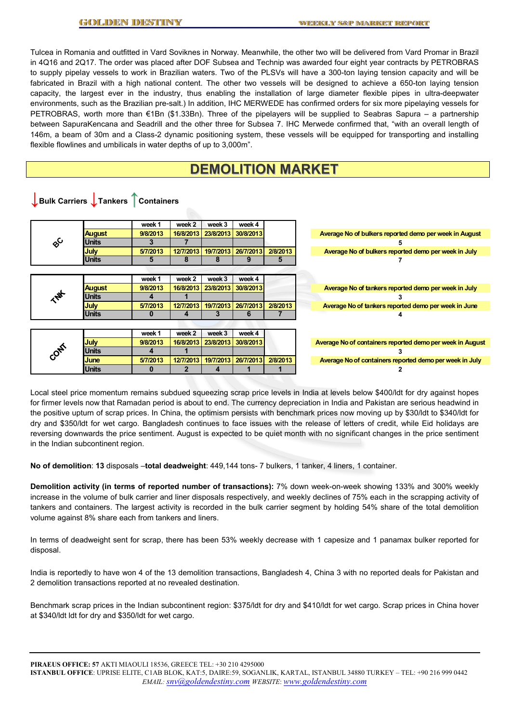**↓Bulk Carriers ↓Tankers** ↑**Containers** 

Tulcea in Romania and outfitted in Vard Soviknes in Norway. Meanwhile, the other two will be delivered from Vard Promar in Brazil in 4Q16 and 2Q17. The order was placed after DOF Subsea and Technip was awarded four eight year contracts by PETROBRAS to supply pipelay vessels to work in Brazilian waters. Two of the PLSVs will have a 300-ton laying tension capacity and will be fabricated in Brazil with a high national content. The other two vessels will be designed to achieve a 650-ton laying tension capacity, the largest ever in the industry, thus enabling the installation of large diameter flexible pipes in ultra-deepwater environments, such as the Brazilian pre-salt.) In addition, IHC MERWEDE has confirmed orders for six more pipelaying vessels for PETROBRAS, worth more than €1Bn (\$1.33Bn). Three of the pipelayers will be supplied to Seabras Sapura – a partnership between SapuraKencana and Seadrill and the other three for Subsea 7. IHC Merwede confirmed that, "with an overall length of 146m, a beam of 30m and a Class-2 dynamic positioning system, these vessels will be equipped for transporting and installing flexible flowlines and umbilicals in water depths of up to 3,000m".

### **DEMOLITION MARKET**

|                       |               | week 1   | week 2    | week 3    | week 4                |          |
|-----------------------|---------------|----------|-----------|-----------|-----------------------|----------|
|                       | <b>August</b> | 9/8/2013 | 16/8/2013 | 23/8/2013 | 30/8/2013             |          |
| $\delta^{\mathsf{C}}$ | <b>Units</b>  |          |           |           |                       |          |
|                       | <b>July</b>   | 5/7/2013 | 12/7/2013 | 19/7/2013 | 26/7/2013             | 2/8/2013 |
|                       | <b>Units</b>  | Ð        | 8         | 8         | 9                     | Ð        |
|                       |               |          |           |           |                       |          |
|                       |               | week 1   | week 2    | week 3    | week 4                |          |
|                       | <b>August</b> | 9/8/2013 | 16/8/2013 | 23/8/2013 | 30/8/2013             |          |
|                       | <b>Units</b>  | 4        |           |           |                       |          |
|                       | <b>July</b>   | 5/7/2013 | 12/7/2013 | 19/7/2013 | 26/7/2013             | 2/8/2013 |
|                       | <b>Units</b>  | o        | 4         | 3         | 6                     |          |
|                       |               |          |           |           |                       |          |
|                       |               | week 1   | week 2    | week 3    | week 4                |          |
|                       | <b>July</b>   | 9/8/2013 | 16/8/2013 | 23/8/2013 | 30/8/2013             |          |
| <b>PONE</b>           | <b>Units</b>  | 4        |           |           |                       |          |
|                       | <b>June</b>   | 5/7/2013 | 12/7/2013 |           | 19/7/2013   26/7/2013 | 2/8/2013 |
|                       | <b>Units</b>  |          | 2         | 4         |                       |          |

Local steel price momentum remains subdued squeezing scrap price levels in India at levels below \$400/ldt for dry against hopes for firmer levels now that Ramadan period is about to end. The currency depreciation in India and Pakistan are serious headwind in the positive upturn of scrap prices. In China, the optimism persists with benchmark prices now moving up by \$30/ldt to \$340/ldt for dry and \$350/ldt for wet cargo. Bangladesh continues to face issues with the release of letters of credit, while Eid holidays are reversing downwards the price sentiment. August is expected to be quiet month with no significant changes in the price sentiment in the Indian subcontinent region.

**No of demolition**: **13** disposals –**total deadweight**: 449,144 tons- 7 bulkers, 1 tanker, 4 liners, 1 container.

**Demolition activity (in terms of reported number of transactions):** 7% down week-on-week showing 133% and 300% weekly increase in the volume of bulk carrier and liner disposals respectively, and weekly declines of 75% each in the scrapping activity of tankers and containers. The largest activity is recorded in the bulk carrier segment by holding 54% share of the total demolition volume against 8% share each from tankers and liners.

In terms of deadweight sent for scrap, there has been 53% weekly decrease with 1 capesize and 1 panamax bulker reported for disposal.

India is reportedly to have won 4 of the 13 demolition transactions, Bangladesh 4, China 3 with no reported deals for Pakistan and 2 demolition transactions reported at no revealed destination.

Benchmark scrap prices in the Indian subcontinent region: \$375/ldt for dry and \$410/ldt for wet cargo. Scrap prices in China hover at \$340/ldt ldt for dry and \$350/ldt for wet cargo.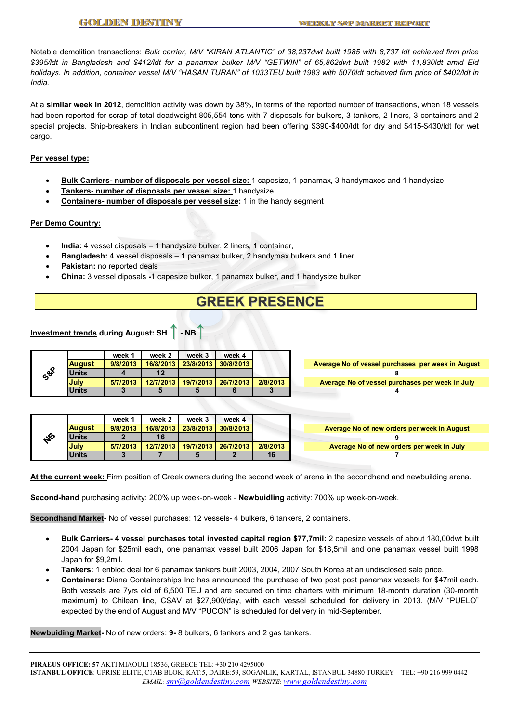Notable demolition transactions: *Bulk carrier, M/V "KIRAN ATLANTIC" of 38,237dwt built 1985 with 8,737 ldt achieved firm price \$395/ldt in Bangladesh and \$412/ldt for a panamax bulker M/V "GETWIN" of 65,862dwt built 1982 with 11,830ldt amid Eid holidays. In addition, container vessel M/V "HASAN TURAN" of 1033TEU built 1983 with 5070ldt achieved firm price of \$402/ldt in India.* 

At a **similar week in 2012**, demolition activity was down by 38%, in terms of the reported number of transactions, when 18 vessels had been reported for scrap of total deadweight 805,554 tons with 7 disposals for bulkers, 3 tankers, 2 liners, 3 containers and 2 special projects. Ship-breakers in Indian subcontinent region had been offering \$390-\$400/ldt for dry and \$415-\$430/ldt for wet cargo.

#### **Per vessel type:**

- **Bulk Carriers- number of disposals per vessel size:** 1 capesize, 1 panamax, 3 handymaxes and 1 handysize
- **Tankers- number of disposals per vessel size:** 1 handysize
- **Containers- number of disposals per vessel size:** 1 in the handy segment

#### **Per Demo Country:**

- **India:** 4 vessel disposals 1 handysize bulker, 2 liners, 1 container,
- **Bangladesh:** 4 vessel disposals 1 panamax bulker, 2 handymax bulkers and 1 liner
- **Pakistan:** no reported deals
- **China:** 3 vessel diposals **-**1 capesize bulker, 1 panamax bulker, and 1 handysize bulker

## **GREEK PRESENCE**

### **Investment trends during August: SH** ↑ **- NB**↑

|    |                 | week 1   | week 2    | week 3    | week 4    |          |                                                   |
|----|-----------------|----------|-----------|-----------|-----------|----------|---------------------------------------------------|
|    | <b>I</b> August | 9/8/2013 | 16/8/2013 | 23/8/2013 | 30/8/2013 |          | Average No of vessel purchases per week in August |
| ధి | <b>Units</b>    |          |           |           |           |          |                                                   |
|    | <b>July</b>     | 5/7/2013 | 12/7/2013 | 19/7/2013 | 26/7/2013 | 2/8/2013 | Average No of vessel purchases per week in July   |
|    | <b>Units</b>    |          |           |           |           |          |                                                   |

|   |               | week 1   | week 2    | week 3    | week 4    |          |                                             |
|---|---------------|----------|-----------|-----------|-----------|----------|---------------------------------------------|
|   | <b>August</b> | 9/8/2013 | 16/8/2013 | 23/8/2013 | 30/8/2013 |          | Average No of new orders per week in August |
| ℅ | Units         |          |           |           |           |          |                                             |
|   | July          | 5/7/2013 | 12/7/2013 | 19/7/2013 | 26/7/2013 | 2/8/2013 | Average No of new orders per week in July   |
|   | <b>Units</b>  |          |           |           |           | 16       |                                             |

**At the current week:** Firm position of Greek owners during the second week of arena in the secondhand and newbuilding arena.

**Second-hand** purchasing activity: 200% up week-on-week - **Newbuidling** activity: 700% up week-on-week.

**Secondhand Market-** No of vessel purchases: 12 vessels- 4 bulkers, 6 tankers, 2 containers.

- **Bulk Carriers- 4 vessel purchases total invested capital region \$77,7mil:** 2 capesize vessels of about 180,00dwt built 2004 Japan for \$25mil each, one panamax vessel built 2006 Japan for \$18,5mil and one panamax vessel built 1998 Japan for \$9,2mil.
- **Tankers:** 1 enbloc deal for 6 panamax tankers built 2003, 2004, 2007 South Korea at an undisclosed sale price.
- **Containers:** Diana Containerships Inc has announced the purchase of two post post panamax vessels for \$47mil each. Both vessels are 7yrs old of 6,500 TEU and are secured on time charters with minimum 18-month duration (30-month maximum) to Chilean line, CSAV at \$27,900/day, with each vessel scheduled for delivery in 2013. (M/V "PUELO" expected by the end of August and M/V "PUCON" is scheduled for delivery in mid-September.

**Newbuiding Market-** No of new orders: **9-** 8 bulkers, 6 tankers and 2 gas tankers.